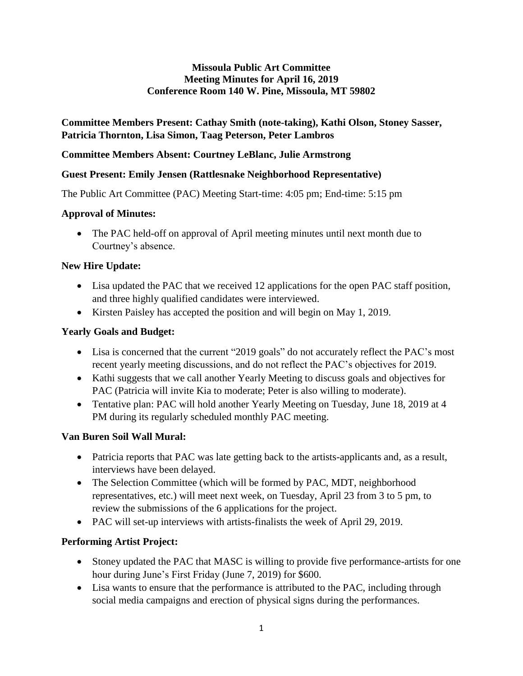#### **Missoula Public Art Committee Meeting Minutes for April 16, 2019 Conference Room 140 W. Pine, Missoula, MT 59802**

## **Committee Members Present: Cathay Smith (note-taking), Kathi Olson, Stoney Sasser, Patricia Thornton, Lisa Simon, Taag Peterson, Peter Lambros**

#### **Committee Members Absent: Courtney LeBlanc, Julie Armstrong**

## **Guest Present: Emily Jensen (Rattlesnake Neighborhood Representative)**

The Public Art Committee (PAC) Meeting Start-time: 4:05 pm; End-time: 5:15 pm

## **Approval of Minutes:**

• The PAC held-off on approval of April meeting minutes until next month due to Courtney's absence.

## **New Hire Update:**

- Lisa updated the PAC that we received 12 applications for the open PAC staff position, and three highly qualified candidates were interviewed.
- Kirsten Paisley has accepted the position and will begin on May 1, 2019.

## **Yearly Goals and Budget:**

- Lisa is concerned that the current "2019 goals" do not accurately reflect the PAC's most recent yearly meeting discussions, and do not reflect the PAC's objectives for 2019.
- Kathi suggests that we call another Yearly Meeting to discuss goals and objectives for PAC (Patricia will invite Kia to moderate; Peter is also willing to moderate).
- Tentative plan: PAC will hold another Yearly Meeting on Tuesday, June 18, 2019 at 4 PM during its regularly scheduled monthly PAC meeting.

# **Van Buren Soil Wall Mural:**

- Patricia reports that PAC was late getting back to the artists-applicants and, as a result, interviews have been delayed.
- The Selection Committee (which will be formed by PAC, MDT, neighborhood representatives, etc.) will meet next week, on Tuesday, April 23 from 3 to 5 pm, to review the submissions of the 6 applications for the project.
- PAC will set-up interviews with artists-finalists the week of April 29, 2019.

# **Performing Artist Project:**

- Stoney updated the PAC that MASC is willing to provide five performance-artists for one hour during June's First Friday (June 7, 2019) for \$600.
- Lisa wants to ensure that the performance is attributed to the PAC, including through social media campaigns and erection of physical signs during the performances.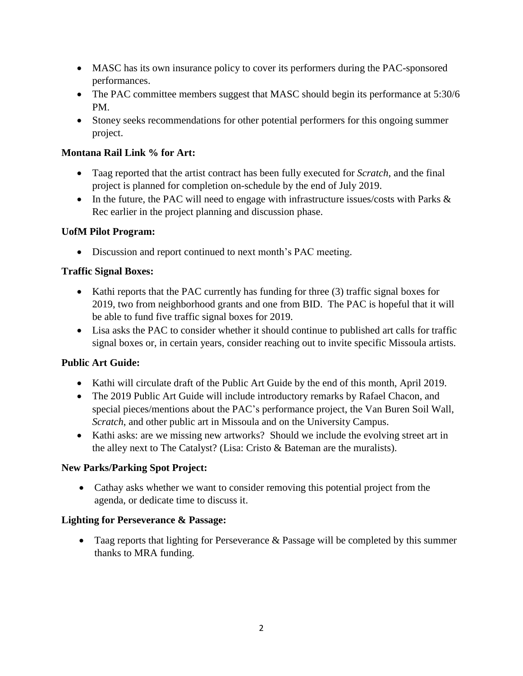- MASC has its own insurance policy to cover its performers during the PAC-sponsored performances.
- The PAC committee members suggest that MASC should begin its performance at 5:30/6 PM.
- Stoney seeks recommendations for other potential performers for this ongoing summer project.

## **Montana Rail Link % for Art:**

- Taag reported that the artist contract has been fully executed for *Scratch*, and the final project is planned for completion on-schedule by the end of July 2019.
- In the future, the PAC will need to engage with infrastructure issues/costs with Parks & Rec earlier in the project planning and discussion phase.

## **UofM Pilot Program:**

• Discussion and report continued to next month's PAC meeting.

## **Traffic Signal Boxes:**

- Kathi reports that the PAC currently has funding for three (3) traffic signal boxes for 2019, two from neighborhood grants and one from BID. The PAC is hopeful that it will be able to fund five traffic signal boxes for 2019.
- Lisa asks the PAC to consider whether it should continue to published art calls for traffic signal boxes or, in certain years, consider reaching out to invite specific Missoula artists.

# **Public Art Guide:**

- Kathi will circulate draft of the Public Art Guide by the end of this month, April 2019.
- The 2019 Public Art Guide will include introductory remarks by Rafael Chacon, and special pieces/mentions about the PAC's performance project, the Van Buren Soil Wall, *Scratch*, and other public art in Missoula and on the University Campus.
- Kathi asks: are we missing new artworks? Should we include the evolving street art in the alley next to The Catalyst? (Lisa: Cristo & Bateman are the muralists).

#### **New Parks/Parking Spot Project:**

 Cathay asks whether we want to consider removing this potential project from the agenda, or dedicate time to discuss it.

#### **Lighting for Perseverance & Passage:**

• Taag reports that lighting for Perseverance & Passage will be completed by this summer thanks to MRA funding.